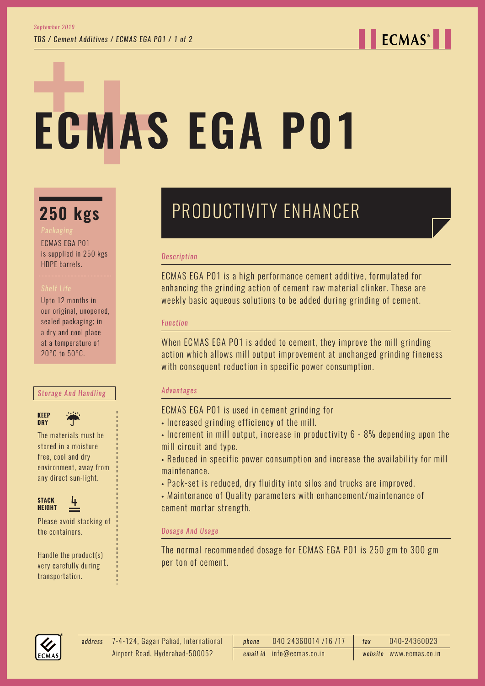## **ECMAS**<sup>®</sup>

# **ECMAS EGA P01**

## **250 kgs**

ECMAS EGA P01 is supplied in 250 kgs HDPE barrels.

Upto 12 months in our original, unopened, sealed packaging; in a dry and cool place at a temperature of 20°C to 50°C.

#### *Storage And Handling*

**KEEP DRY** 



The materials must be stored in a moisture free, cool and dry environment, away from any direct sun-light.



Please avoid stacking of the containers.

Handle the product(s) very carefully during transportation.

## PRODUCTIVITY ENHANCER

#### *Description*

ECMAS EGA P01 is a high performance cement additive, formulated for enhancing the grinding action of cement raw material clinker. These are weekly basic aqueous solutions to be added during grinding of cement.

#### *Function*

When ECMAS EGA P01 is added to cement, they improve the mill grinding action which allows mill output improvement at unchanged grinding fineness with consequent reduction in specific power consumption.

#### *Advantages*

ECMAS EGA P01 is used in cement grinding for

- Increased grinding efficiency of the mill.
- Increment in mill output, increase in productivity 6 8% depending upon the mill circuit and type.
- Reduced in specific power consumption and increase the availability for mill maintenance.
- Pack-set is reduced, dry fluidity into silos and trucks are improved.
- Maintenance of Quality parameters with enhancement/maintenance of cement mortar strength.

#### *Dosage And Usage*

The normal recommended dosage for ECMAS EGA P01 is 250 gm to 300 gm per ton of cement.